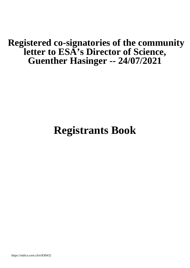## **Registered co-signatories of the community letter to ESA's Director of Science, Guenther Hasinger -- 24/07/2021**

# **Registrants Book**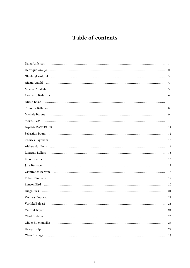### Table of contents

|                                                                                                                                                                                                                                      | - 1            |
|--------------------------------------------------------------------------------------------------------------------------------------------------------------------------------------------------------------------------------------|----------------|
|                                                                                                                                                                                                                                      | 2              |
|                                                                                                                                                                                                                                      | 3              |
|                                                                                                                                                                                                                                      | $\overline{4}$ |
|                                                                                                                                                                                                                                      | 5              |
|                                                                                                                                                                                                                                      | 6              |
|                                                                                                                                                                                                                                      | 7              |
| Timothy Ballance <i>machines and a continuum continuum continuum continuum continuum continuum continuum continuum continuum continuum continuum continuum continuum continuum continuum continuum continuum continuum continuum</i> | 8              |
|                                                                                                                                                                                                                                      | 9              |
|                                                                                                                                                                                                                                      | 10             |
|                                                                                                                                                                                                                                      |                |
|                                                                                                                                                                                                                                      |                |
|                                                                                                                                                                                                                                      |                |
|                                                                                                                                                                                                                                      |                |
|                                                                                                                                                                                                                                      | 15             |
|                                                                                                                                                                                                                                      |                |
|                                                                                                                                                                                                                                      |                |
|                                                                                                                                                                                                                                      | 18             |
|                                                                                                                                                                                                                                      | 19             |
|                                                                                                                                                                                                                                      |                |
|                                                                                                                                                                                                                                      | -21            |
|                                                                                                                                                                                                                                      | 22             |
| Vasiliki Bolpasi                                                                                                                                                                                                                     | 23             |
|                                                                                                                                                                                                                                      | 24             |
| Chad Briddon (and international contracts and all of the state of the state of the state of the state of the state of the state of the state of the state of the state of the state of the state of the state of the state of        | 25             |
| Oliver Buchmueller (al., 1990) (al., 1990) (al., 1990) (al., 1990) (al., 1990) (al., 1990) (al., 1990) (al., 1                                                                                                                       | 26             |
|                                                                                                                                                                                                                                      | 27             |
|                                                                                                                                                                                                                                      | 28             |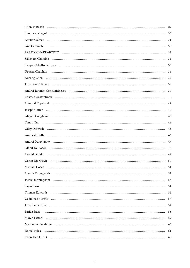|                                                                                                                                                                                                                                | 29 |
|--------------------------------------------------------------------------------------------------------------------------------------------------------------------------------------------------------------------------------|----|
|                                                                                                                                                                                                                                | 30 |
|                                                                                                                                                                                                                                | 31 |
|                                                                                                                                                                                                                                | 32 |
|                                                                                                                                                                                                                                | 33 |
| Saksham Chandna (and a communication of the contract of the contract of the contract of the contract of the contract of the contract of the contract of the contract of the contract of the contract of the contract of the co | 34 |
|                                                                                                                                                                                                                                | 35 |
|                                                                                                                                                                                                                                | 36 |
|                                                                                                                                                                                                                                | 37 |
|                                                                                                                                                                                                                                | 38 |
|                                                                                                                                                                                                                                | 39 |
| Costas Constantinou museum museum constantinou de la constantinou de la constantinou de la constantinou de la c                                                                                                                | 40 |
| Edmund Copeland (and according to the control of the control of the control of the control of the control of the control of the control of the control of the control of the control of the control of the control of the cont | 41 |
|                                                                                                                                                                                                                                | 42 |
|                                                                                                                                                                                                                                | 43 |
|                                                                                                                                                                                                                                | 44 |
|                                                                                                                                                                                                                                | 45 |
|                                                                                                                                                                                                                                | 46 |
| Andrei Derevianko muutamaan muutamaan kunnaan muutamaan kunnaan muutamaan muutamaan muutamaan muutamaan muutam                                                                                                                 | 47 |
|                                                                                                                                                                                                                                | 48 |
|                                                                                                                                                                                                                                | 49 |
| Goran Djordjevic (and all and an anti-main and all and all and all and all and all and all and all and all and                                                                                                                 | 50 |
|                                                                                                                                                                                                                                | 51 |
| Ioannis Drougkakis (and all and all and all and all and all and all and all and all and all and all and all an                                                                                                                 | 52 |
|                                                                                                                                                                                                                                | 53 |
|                                                                                                                                                                                                                                | 54 |
| Thomas Edwards (and according to the contract of the contract of the contract of the contract of the contract of the contract of the contract of the contract of the contract of the contract of the contract of the contract  | 55 |
| Gedminas Elertas (alternational continuum and continuum and continuum and continuum and continuum and continuu                                                                                                                 | 56 |
|                                                                                                                                                                                                                                | 57 |
|                                                                                                                                                                                                                                | 58 |
|                                                                                                                                                                                                                                | 59 |
| Michael A. Fedderke (a) and a continuum and a continuum and a continuum and a continuum and a continuum and a c                                                                                                                | 60 |
|                                                                                                                                                                                                                                | 61 |
|                                                                                                                                                                                                                                | 62 |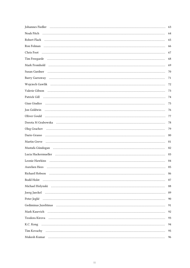| Johannes Fiedler (al. 1991) (al. 1992) (al. 1992) (al. 1993) (al. 1993) (al. 1994) (al. 1994) (al. 1994) (al. 1994)                                                                                                            | 63 |
|--------------------------------------------------------------------------------------------------------------------------------------------------------------------------------------------------------------------------------|----|
| Noah Fitch Allen and Communication of the Contract of Title and Title and Title and Title and Title and Title a                                                                                                                | 64 |
|                                                                                                                                                                                                                                | 65 |
|                                                                                                                                                                                                                                | 66 |
|                                                                                                                                                                                                                                | 67 |
| Tim Freegarde (al. 1991) and the contract of the contract of the contract of the contract of the contract of the contract of the contract of the contract of the contract of the contract of the contract of the contract of t | 68 |
| Mark Fromhold Mark Fromhold Mark Fromhold Mark Fromhold Mark Fromhold Mark Fromhold Mark From Mark From Mark I                                                                                                                 | 69 |
|                                                                                                                                                                                                                                | 70 |
|                                                                                                                                                                                                                                | 71 |
| Wojciech Gawlik (al. 1993) Mojciech Gawlik (al. 1993) Mojciech Gawlik (al. 1994) Mojciech Gawlik (al. 1994) Mo                                                                                                                 | 72 |
| Valerie Gibson municipality contracts and all the contracts of the contracts of the contracts of the contracts of the contracts of the contracts of the contracts of the contracts of the contracts of the contracts of the co | 73 |
|                                                                                                                                                                                                                                | 74 |
|                                                                                                                                                                                                                                | 75 |
| Jon Goldwin                                                                                                                                                                                                                    | 76 |
| Oliver Gould <b>William Could Could Could Could Could Could Could Could Could Could Could Could Could Could Could Could Could Could Could Could Could Could Could Could Could </b>                                             | 77 |
| Dorota M Grabowska (and all and an anti-announced material contracts and all and all and all and all and all a                                                                                                                 | 78 |
|                                                                                                                                                                                                                                | 79 |
|                                                                                                                                                                                                                                | 80 |
| Martin Greve manufactured and the contract of the contract of the contract of the contract of the contract of                                                                                                                  | 81 |
|                                                                                                                                                                                                                                | 82 |
| Lucia Hackermueller (1111) (111) (111) (121) (121) (121) (121) (121) (121) (121) (121) (121) (121) (121) (121) (121) (121) (121) (121) (121) (121) (121) (121) (121) (121) (121) (121) (121) (121) (121) (121) (121) (121) (12 | 83 |
| Leonie Hawkins                                                                                                                                                                                                                 | 84 |
| Aurelien Hees                                                                                                                                                                                                                  | 85 |
|                                                                                                                                                                                                                                | 86 |
|                                                                                                                                                                                                                                | 87 |
|                                                                                                                                                                                                                                | 88 |
|                                                                                                                                                                                                                                | 89 |
|                                                                                                                                                                                                                                | 90 |
|                                                                                                                                                                                                                                | 91 |
| Mark Kasevich Allen and Allen and Allen and Allen and Allen and Allen and Allen and Allen and Allen and Allen                                                                                                                  | 92 |
|                                                                                                                                                                                                                                | 93 |
|                                                                                                                                                                                                                                | 94 |
|                                                                                                                                                                                                                                | 95 |
| Mukesh Kumar (additional continuum continuum control control control control control control control control control control control control control control control control control control control control control control c | 96 |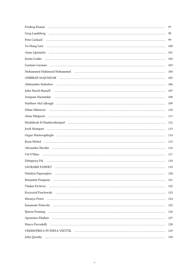|                                                                                                                                                                                                                                | 97  |
|--------------------------------------------------------------------------------------------------------------------------------------------------------------------------------------------------------------------------------|-----|
|                                                                                                                                                                                                                                | 98  |
| Peter Lichard (a) and (a) and (a) and (a) and (a) and (a) and (a) and (a) and (a) and (a) and (a) and (a) and (a) and (a) and (a) and (a) and (a) and (a) and (a) and (a) and (a) and (a) and (a) and (a) and (a) and (a) and  | 99  |
|                                                                                                                                                                                                                                | 100 |
|                                                                                                                                                                                                                                | 101 |
|                                                                                                                                                                                                                                | 102 |
| Gaetano Luciano (alle continuo di continuo di continuo di continuo di continuo di continuo di continuo di continuo di continuo di continuo di continuo di continuo di continuo di continuo di continuo di continuo di continuo | 103 |
| Mohammed Mahmoud Mohammed (a) material contracts and a series of the material material material material material material material material material material material material material material material material material  | 104 |
|                                                                                                                                                                                                                                | 105 |
|                                                                                                                                                                                                                                | 106 |
|                                                                                                                                                                                                                                | 107 |
| Anupam Mazumdar (antiumanical continuumanical control of the Mazumanianianism)                                                                                                                                                 | 108 |
| Matthew McCullough matter communication and the matter of the matter of the matter of the matter of the matter                                                                                                                 | 109 |
|                                                                                                                                                                                                                                | 110 |
|                                                                                                                                                                                                                                | 111 |
|                                                                                                                                                                                                                                | 112 |
|                                                                                                                                                                                                                                | 113 |
|                                                                                                                                                                                                                                | 114 |
|                                                                                                                                                                                                                                | 115 |
| Alexandru Nicolin (al. 1990) (al. 1990) (al. 1991) (al. 1991) (al. 1991) (al. 1991) (al. 1991) (al. 1991) (al. 1991)                                                                                                           | 116 |
|                                                                                                                                                                                                                                | 117 |
|                                                                                                                                                                                                                                | 118 |
|                                                                                                                                                                                                                                | 119 |
|                                                                                                                                                                                                                                | 120 |
|                                                                                                                                                                                                                                | 121 |
| Vladan Pavlovic (al. 1991) and the control of the control of the control of the control of the control of the control of the control of the control of the control of the control of the control of the control of the control | 122 |
| Krzysztof Pawlowski (al. 2001) (2003) (2003) (2014) (2015) (2016) (2016) (2016) (2016) (2016) (2016) (2016) (2                                                                                                                 | 123 |
|                                                                                                                                                                                                                                | 124 |
|                                                                                                                                                                                                                                | 125 |
|                                                                                                                                                                                                                                | 126 |
| Apostolos Pilaftsis (al. 1991) (al. 1992) (al. 1993) (al. 1993) (al. 1994) (al. 1994) (al. 1994) (al. 1994) (a                                                                                                                 | 127 |
|                                                                                                                                                                                                                                | 128 |
|                                                                                                                                                                                                                                | 129 |
|                                                                                                                                                                                                                                | 130 |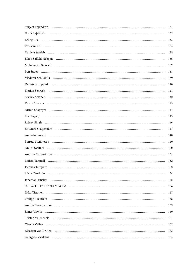|                                                                                                                                                                                                                                | 131 |
|--------------------------------------------------------------------------------------------------------------------------------------------------------------------------------------------------------------------------------|-----|
|                                                                                                                                                                                                                                | 132 |
| Erling Riis (and all and all and all and all and all and all and all and all and all and all and all and all a                                                                                                                 | 133 |
|                                                                                                                                                                                                                                | 134 |
|                                                                                                                                                                                                                                | 135 |
| Jakob Salfeld-Nebgen mundum mundum mundum mengantakan menjadi kecamaan menjadi kecamaan menjadi kecamaan menja                                                                                                                 | 136 |
| Muhammed Sameed manufactured and control manufactured and states are manufactured and manufactured and manufactured and manufactured and manufactured and manufactured and manufactured and manufactured and manufactured and  | 137 |
|                                                                                                                                                                                                                                | 138 |
| Vladimir Schkolnik (al. 1993) - Alexandria (al. 1994) - Alexandria (al. 1994) - Alexandria (al. 1994) - Alexandria (al. 1995) - Alexandria (al. 1995) - Alexandria (al. 1995) - Alexandria (al. 1995) - Alexandria (al. 1995)  | 139 |
| Dennis Schlippert (and all and an anti-annual and an annual and an annual and an annual and an annual and an a                                                                                                                 | 140 |
| Florian Schreck (al. 2003) (al. 2013) (al. 2014) (al. 2014) (al. 2014) (al. 2014) (al. 2014) (al. 2014) (al. 2014) (                                                                                                           | 141 |
|                                                                                                                                                                                                                                | 142 |
|                                                                                                                                                                                                                                | 143 |
|                                                                                                                                                                                                                                | 144 |
|                                                                                                                                                                                                                                | 145 |
|                                                                                                                                                                                                                                | 146 |
|                                                                                                                                                                                                                                | 147 |
|                                                                                                                                                                                                                                | 148 |
|                                                                                                                                                                                                                                | 149 |
| Anke Stoeltzel Processes and Construction of the Stoeltzel Processes and Anke Stoeltzel Processes and Anke Stoeltzel                                                                                                           | 150 |
|                                                                                                                                                                                                                                | 151 |
|                                                                                                                                                                                                                                | 152 |
| Jacques Tempere manufacture and contract the contract of the contract of the contract of the contract of the contract of the contract of the contract of the contract of the contract of the contract of the contract of the c | 153 |
|                                                                                                                                                                                                                                | 154 |
| Jonathan Tinsley (and according to the control of the control of the control of the control of the control of the control of the control of the control of the control of the control of the control of the control of the con | 155 |
|                                                                                                                                                                                                                                | 156 |
| Ilkka Tittonen alueen ensimmäinen muodonna muodonna muodonna muodonna muodonna muodonna muodonna muodonna muod                                                                                                                 | 157 |
| Philipp Treutlein manufactured contains and the contact of the contact of the contact of the contact of the contact of the contact of the contact of the contact of the contact of the contact of the contact of the contact o | 158 |
|                                                                                                                                                                                                                                | 159 |
|                                                                                                                                                                                                                                | 160 |
|                                                                                                                                                                                                                                | 161 |
|                                                                                                                                                                                                                                | 162 |
|                                                                                                                                                                                                                                | 163 |
|                                                                                                                                                                                                                                | 164 |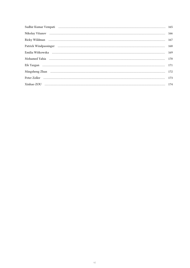| Sudhir Kumar Vempati (al. 2003) and the contract of the contract of the contract of the contract of the contract of the contract of the contract of the contract of the contract of the contract of the contract of the contra |  |
|--------------------------------------------------------------------------------------------------------------------------------------------------------------------------------------------------------------------------------|--|
|                                                                                                                                                                                                                                |  |
|                                                                                                                                                                                                                                |  |
|                                                                                                                                                                                                                                |  |
|                                                                                                                                                                                                                                |  |
|                                                                                                                                                                                                                                |  |
|                                                                                                                                                                                                                                |  |
| Mingsheng Zhan manuscrittise and the contract of the contract of the contract of the contract of the contract of the contract of the contract of the contract of the contract of the contract of the contract of the contract  |  |
|                                                                                                                                                                                                                                |  |
|                                                                                                                                                                                                                                |  |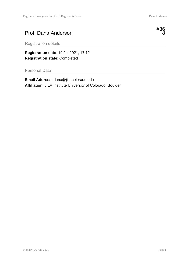#### Prof. Dana Anderson



Registration details

**Registration date**: 19 Jul 2021, 17:12 **Registration state**: Completed

Personal Data

**Email Address**: dana@jila.colorado.edu **Affiliation**: JILA Institute University of Colorado, Boulder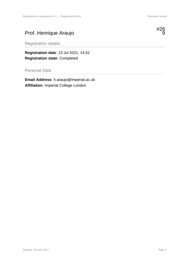#### Prof. Henrique Araujo



Registration details

**Registration date**: 13 Jul 2021, 14:41 **Registration state**: Completed

Personal Data

**Email Address**: h.araujo@imperial.ac.uk **Affiliation**: Imperial College London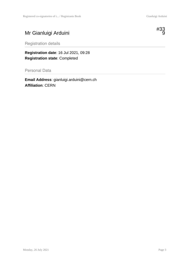#### Mr Gianluigi Arduini



Registration details

**Registration date**: 16 Jul 2021, 09:28 **Registration state**: Completed

Personal Data

**Email Address**: gianluigi.arduini@cern.ch **Affiliation**: CERN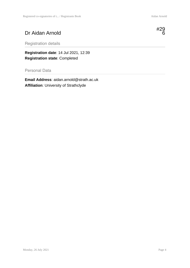#### Dr Aidan Arnold



Registration details

**Registration date**: 14 Jul 2021, 12:39 **Registration state**: Completed

Personal Data

**Email Address**: aidan.arnold@strath.ac.uk **Affiliation**: University of Strathclyde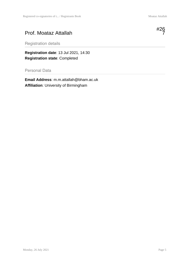#### Prof. Moataz Attallah



Registration details

**Registration date**: 13 Jul 2021, 14:30 **Registration state**: Completed

Personal Data

**Email Address**: m.m.attallah@bham.ac.uk **Affiliation**: University of Birmingham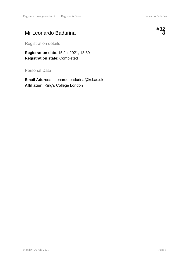#### Mr Leonardo Badurina



Registration details

**Registration date**: 15 Jul 2021, 13:39 **Registration state**: Completed

Personal Data

**Email Address**: leonardo.badurina@kcl.ac.uk **Affiliation**: King's College London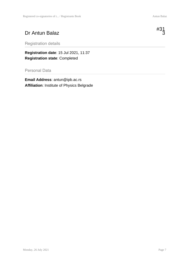#### Dr Antun Balaz



**Registration date**: 15 Jul 2021, 11:37 **Registration state**: Completed

#### Personal Data

**Email Address**: antun@ipb.ac.rs **Affiliation**: Institute of Physics Belgrade

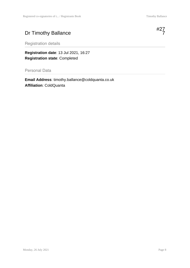#### Dr Timothy Ballance

Registration details

**Registration date**: 13 Jul 2021, 16:27 **Registration state**: Completed

Personal Data

**Email Address**: timothy.ballance@coldquanta.co.uk **Affiliation**: ColdQuanta

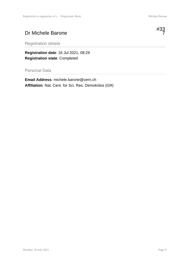#33 7

#### Dr Michele Barone



Registration details

**Registration date**: 16 Jul 2021, 08:29 **Registration state**: Completed

Personal Data

**Email Address**: michele.barone@cern.ch **Affiliation**: Nat. Cent. for Sci. Res. Demokritos (GR)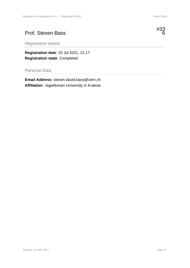#### Prof. Steven Bass



Registration details

**Registration date**: 15 Jul 2021, 21:17 **Registration state**: Completed

Personal Data

**Email Address**: steven.david.bass@cern.ch **Affiliation**: Jagiellonian University in Krakow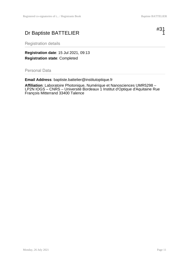#### Dr Baptiste BATTELIER



Registration details

**Registration date**: 15 Jul 2021, 09:13 **Registration state**: Completed

Personal Data

**Email Address**: baptiste.battelier@institutoptique.fr

**Affiliation**: Laboratoire Photonique, Numérique et Nanosciences UMR5298 – LP2N IOGS – CNRS – Université Bordeaux 1 Institut d'Optique d'Aquitaine Rue François Mitterrand 33400 Talence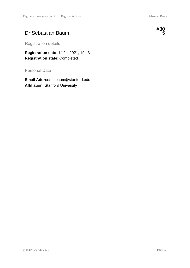#### Dr Sebastian Baum



Registration details

**Registration date**: 14 Jul 2021, 19:43 **Registration state**: Completed

Personal Data

**Email Address**: sbaum@stanford.edu **Affiliation**: Stanford University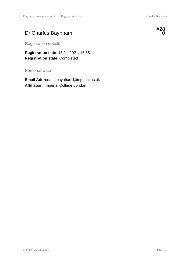#### Dr Charles Baynham



Registration details

**Registration date**: 13 Jul 2021, 16:55 **Registration state**: Completed

Personal Data

**Email Address**: c.baynham@imperial.ac.uk **Affiliation**: Imperial College London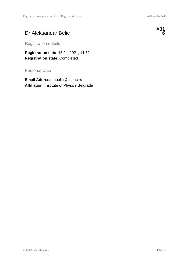#### Dr Aleksandar Belic



Registration details

**Registration date**: 15 Jul 2021, 11:51 **Registration state**: Completed

Personal Data

**Email Address**: abelic@ipb.ac.rs **Affiliation**: Institute of Physics Belgrade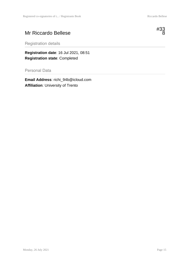#### Mr Riccardo Bellese



Registration details

**Registration date**: 16 Jul 2021, 08:51 **Registration state**: Completed

Personal Data

**Email Address**: richi\_94b@icloud.com **Affiliation**: University of Trento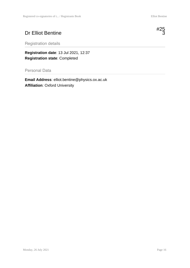#### Dr Elliot Bentine



Registration details

**Registration date**: 13 Jul 2021, 12:37 **Registration state**: Completed

Personal Data

**Email Address**: elliot.bentine@physics.ox.ac.uk **Affiliation**: Oxford University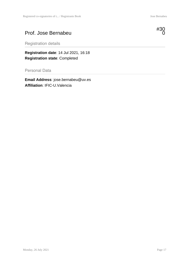#### Prof. Jose Bernabeu



Registration details

**Registration date**: 14 Jul 2021, 16:18 **Registration state**: Completed

Personal Data

**Email Address**: jose.bernabeu@uv.es **Affiliation**: IFIC-U.Valencia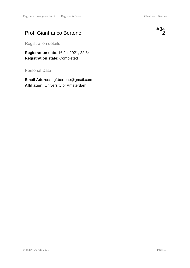#### Prof. Gianfranco Bertone



Registration details

**Registration date**: 16 Jul 2021, 22:34 **Registration state**: Completed

Personal Data

**Email Address**: gf.bertone@gmail.com **Affiliation**: University of Amsterdam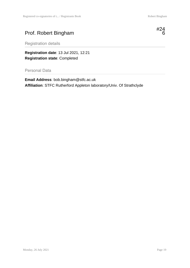#### Prof. Robert Bingham



Registration details

**Registration date**: 13 Jul 2021, 12:21 **Registration state**: Completed

Personal Data

**Email Address**: bob.bingham@stfc.ac.uk **Affiliation**: STFC Rutherford Appleton laboratory/Univ. Of Strathclyde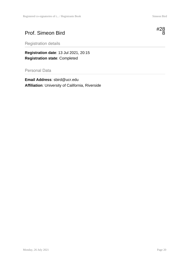#### Prof. Simeon Bird



**Registration date**: 13 Jul 2021, 20:15 **Registration state**: Completed

Personal Data

**Email Address**: sbird@ucr.edu **Affiliation**: University of California, Riverside

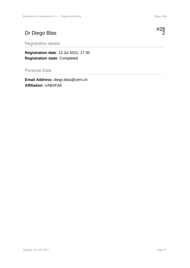#### Dr Diego Blas

Registration details

**Registration date**: 13 Jul 2021, 17:30 **Registration state**: Completed

Personal Data

**Email Address**: diego.blas@cern.ch **Affiliation**: UAB/IFAE

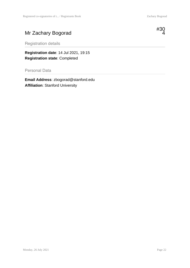#### Mr Zachary Bogorad



Registration details

**Registration date**: 14 Jul 2021, 19:15 **Registration state**: Completed

Personal Data

**Email Address**: zbogorad@stanford.edu **Affiliation**: Stanford University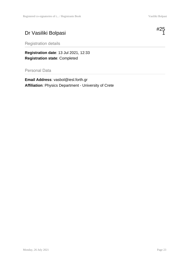#### Dr Vasiliki Bolpasi



Registration details

**Registration date**: 13 Jul 2021, 12:33 **Registration state**: Completed

Personal Data

**Email Address**: vasbol@iesl.forth.gr **Affiliation**: Physics Department - University of Crete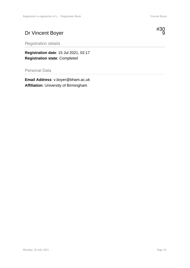#### Dr Vincent Boyer



Registration details

**Registration date**: 15 Jul 2021, 02:17 **Registration state**: Completed

Personal Data

**Email Address**: v.boyer@bham.ac.uk **Affiliation**: University of Birmingham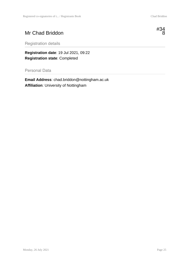#### Mr Chad Briddon



Registration details

**Registration date**: 19 Jul 2021, 09:22 **Registration state**: Completed

Personal Data

**Email Address**: chad.briddon@nottingham.ac.uk **Affiliation**: University of Nottingham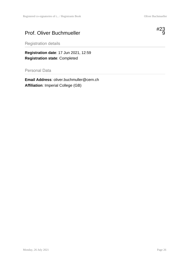#### Prof. Oliver Buchmueller



Registration details

**Registration date**: 17 Jun 2021, 12:59 **Registration state**: Completed

Personal Data

**Email Address**: oliver.buchmuller@cern.ch **Affiliation**: Imperial College (GB)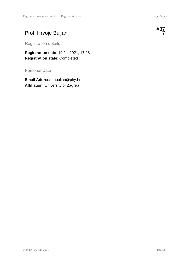#### Prof. Hrvoje Buljan

Registration details

**Registration date**: 19 Jul 2021, 17:28 **Registration state**: Completed

Personal Data

**Email Address**: hbuljan@phy.hr **Affiliation**: University of Zagreb

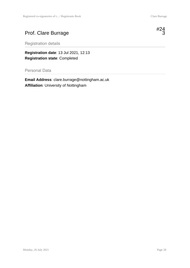#### Prof. Clare Burrage

Registration details

**Registration date**: 13 Jul 2021, 12:13 **Registration state**: Completed

Personal Data

**Email Address**: clare.burrage@nottingham.ac.uk **Affiliation**: University of Nottingham



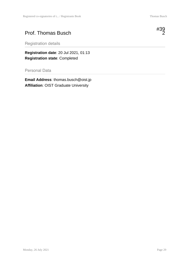#### Prof. Thomas Busch



Registration details

**Registration date**: 20 Jul 2021, 01:13 **Registration state**: Completed

Personal Data

**Email Address**: thomas.busch@oist.jp **Affiliation**: OIST Graduate University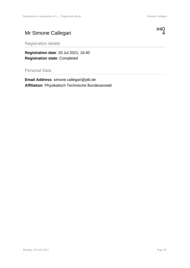# Mr Simone Callegari



Registration details

**Registration date**: 20 Jul 2021, 16:40 **Registration state**: Completed

Personal Data

**Email Address**: simone.callegari@ptb.de **Affiliation**: Physikalisch Technische Bundesanstalt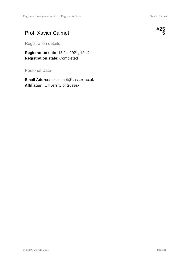## Prof. Xavier Calmet



Registration details

**Registration date**: 13 Jul 2021, 12:41 **Registration state**: Completed

Personal Data

**Email Address**: x.calmet@sussex.ac.uk **Affiliation**: University of Sussex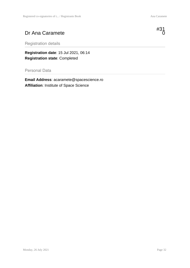### Dr Ana Caramete



Registration details

**Registration date**: 15 Jul 2021, 06:14 **Registration state**: Completed

Personal Data

**Email Address**: acaramete@spacescience.ro **Affiliation**: Institute of Space Science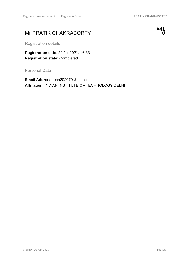# Mr PRATIK CHAKRABORTY



Registration details

**Registration date**: 22 Jul 2021, 16:33 **Registration state**: Completed

Personal Data

**Email Address**: pha202079@iitd.ac.in **Affiliation**: INDIAN INSTITUTE OF TECHNOLOGY DELHI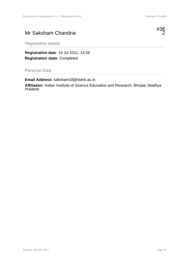### Mr Saksham Chandna



Registration details

**Registration date**: 19 Jul 2021, 14:26 **Registration state**: Completed

Personal Data

**Email Address**: saksham18@iiserb.ac.in **Affiliation**: Indian Institute of Science Education and Research, Bhopal, Madhya Pradesh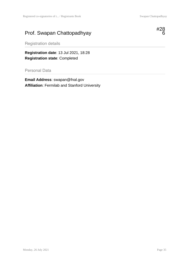# Prof. Swapan Chattopadhyay



Registration details

**Registration date**: 13 Jul 2021, 18:28 **Registration state**: Completed

Personal Data

**Email Address**: swapan@fnal.gov **Affiliation**: Fermilab and Stanford University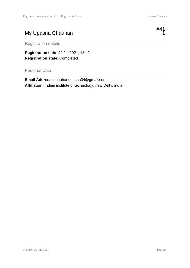# Ms Upasna Chauhan

#41  $\overline{1}$ 

Registration details

**Registration date**: 22 Jul 2021, 18:42 **Registration state**: Completed

Personal Data

**Email Address**: chauhanupasna34@gmail.com **Affiliation**: Indian institute of technology, new Delhi, india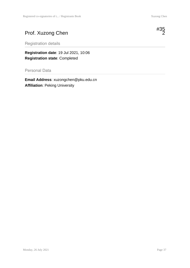# Prof. Xuzong Chen

Registration details

**Registration date**: 19 Jul 2021, 10:06 **Registration state**: Completed

Personal Data

**Email Address**: xuzongchen@pku.edu.cn **Affiliation**: Peking University

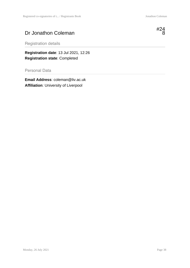### Dr Jonathon Coleman



Registration details

**Registration date**: 13 Jul 2021, 12:26 **Registration state**: Completed

Personal Data

**Email Address**: coleman@liv.ac.uk **Affiliation**: University of Liverpool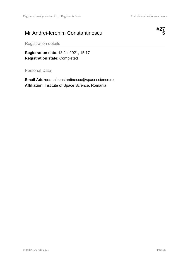### Mr Andrei-Ieronim Constantinescu



Registration details

**Registration date**: 13 Jul 2021, 15:17 **Registration state**: Completed

Personal Data

**Email Address**: aiconstantinescu@spacescience.ro **Affiliation**: Institute of Space Science, Romania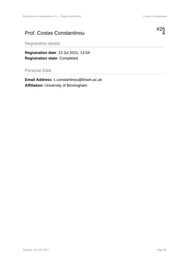#### Prof. Costas Constantinou



Registration details

**Registration date**: 13 Jul 2021, 13:54 **Registration state**: Completed

Personal Data

**Email Address**: c.constantinou@bham.ac.uk **Affiliation**: University of Birmingham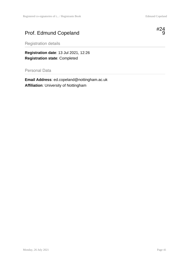# Prof. Edmund Copeland



Registration details

**Registration date**: 13 Jul 2021, 12:26 **Registration state**: Completed

Personal Data

**Email Address**: ed.copeland@nottingham.ac.uk **Affiliation**: University of Nottingham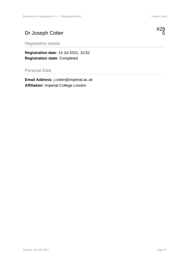# Dr Joseph Cotter



Registration details

**Registration date**: 14 Jul 2021, 10:52 **Registration state**: Completed

Personal Data

**Email Address**: j.cotter@imperial.ac.uk **Affiliation**: Imperial College London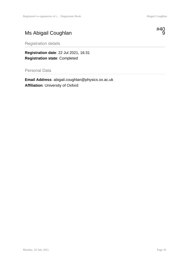# Ms Abigail Coughlan



Registration details

**Registration date**: 22 Jul 2021, 16:31 **Registration state**: Completed

Personal Data

**Email Address**: abigail.coughlan@physics.ox.ac.uk **Affiliation**: University of Oxford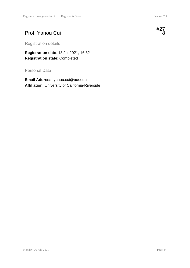# **Registration date**: 13 Jul 2021, 16:32

Prof. Yanou Cui

Registration details

**Registration state**: Completed

#### Personal Data

**Email Address**: yanou.cui@ucr.edu **Affiliation**: University of California-Riverside



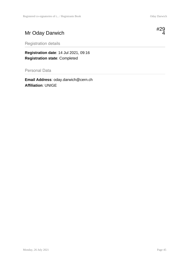# Mr Oday Darwich

Registration details

**Registration date**: 14 Jul 2021, 09:16 **Registration state**: Completed

Personal Data

**Email Address**: oday.darwich@cern.ch **Affiliation**: UNIGE

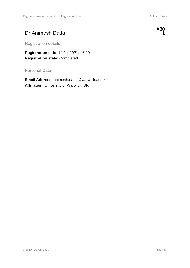# Dr Animesh Datta



Registration details

**Registration date**: 14 Jul 2021, 16:29 **Registration state**: Completed

Personal Data

**Email Address**: animesh.datta@warwick.ac.uk **Affiliation**: University of Warwick, UK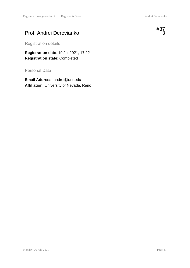#### Prof. Andrei Derevianko



Registration details

**Registration date**: 19 Jul 2021, 17:22 **Registration state**: Completed

Personal Data

**Email Address**: andrei@unr.edu **Affiliation**: University of Nevada, Reno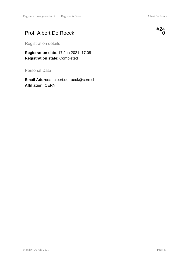# Prof. Albert De Roeck

Registration details

**Registration date**: 17 Jun 2021, 17:08 **Registration state**: Completed

Personal Data

**Email Address**: albert.de.roeck@cern.ch **Affiliation**: CERN



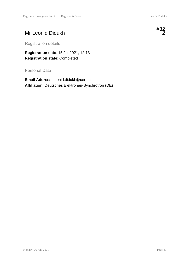# Mr Leonid Didukh



**Registration date**: 15 Jul 2021, 12:13 **Registration state**: Completed

Personal Data

**Email Address**: leonid.didukh@cern.ch **Affiliation**: Deutsches Elektronen-Synchrotron (DE)

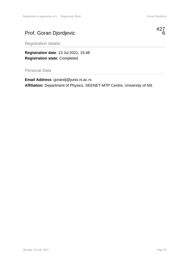# Prof. Goran Djordjevic



Registration details

**Registration date**: 13 Jul 2021, 15:48 **Registration state**: Completed

Personal Data

**Email Address**: gorandj@junis.ni.ac.rs **Affiliation**: Department of Physics, SEENET-MTP Centre, University of Niš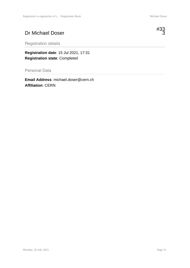# Dr Michael Doser

Registration details

**Registration date**: 15 Jul 2021, 17:31 **Registration state**: Completed

Personal Data

**Email Address**: michael.doser@cern.ch **Affiliation**: CERN

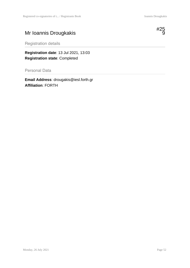# Mr Ioannis Drougkakis



Registration details

**Registration date**: 13 Jul 2021, 13:03 **Registration state**: Completed

Personal Data

**Email Address**: drougakis@iesl.forth.gr **Affiliation**: FORTH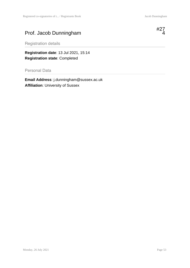# Prof. Jacob Dunningham

Registration details

**Registration date**: 13 Jul 2021, 15:14 **Registration state**: Completed

Personal Data

**Email Address**: j.dunningham@sussex.ac.uk **Affiliation**: University of Sussex

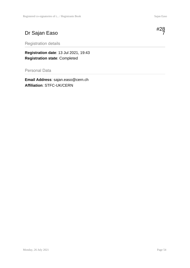# Dr Sajan Easo

Registration details

**Registration date**: 13 Jul 2021, 19:43 **Registration state**: Completed

Personal Data

**Email Address**: sajan.easo@cern.ch **Affiliation**: STFC-UK/CERN



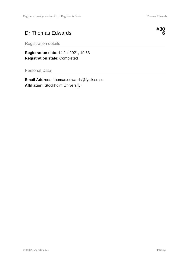### Dr Thomas Edwards



Registration details

**Registration date**: 14 Jul 2021, 19:53 **Registration state**: Completed

Personal Data

**Email Address**: thomas.edwards@fysik.su.se **Affiliation**: Stockholm University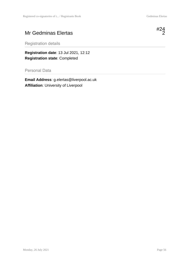# Mr Gedminas Elertas



Registration details

**Registration date**: 13 Jul 2021, 12:12 **Registration state**: Completed

Personal Data

**Email Address**: g.elertas@liverpool.ac.uk **Affiliation**: University of Liverpool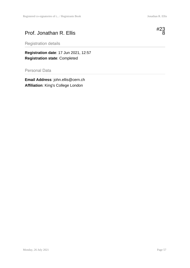### Prof. Jonathan R. Ellis



Registration details

**Registration date**: 17 Jun 2021, 12:57 **Registration state**: Completed

Personal Data

**Email Address**: john.ellis@cern.ch **Affiliation**: King's College London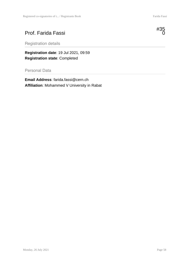#### Prof. Farida Fassi

Registration details

**Registration date**: 19 Jul 2021, 09:59 **Registration state**: Completed

Personal Data

**Email Address**: farida.fassi@cern.ch **Affiliation**: Mohammed V University in Rabat



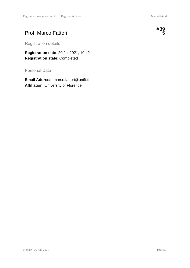#### Prof. Marco Fattori

Registration details

**Registration date**: 20 Jul 2021, 10:42 **Registration state**: Completed

Personal Data

**Email Address**: marco.fattori@unifi.it **Affiliation**: University of Florence

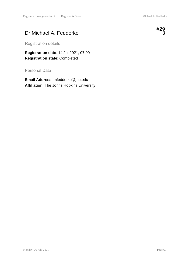## Dr Michael A. Fedderke



Registration details

**Registration date**: 14 Jul 2021, 07:09 **Registration state**: Completed

Personal Data

**Email Address**: mfedderke@jhu.edu **Affiliation**: The Johns Hopkins University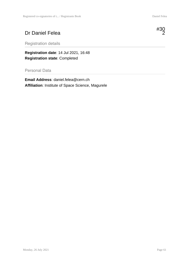# Dr Daniel Felea



Registration details

**Registration date**: 14 Jul 2021, 16:48 **Registration state**: Completed

#### Personal Data

**Email Address**: daniel.felea@cern.ch **Affiliation**: Institute of Space Science, Magurele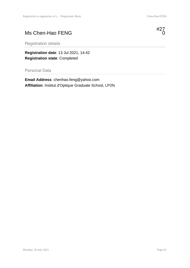# Ms Chen-Hao FENG



Registration details

**Registration date**: 13 Jul 2021, 14:42 **Registration state**: Completed

Personal Data

**Email Address**: chenhao.feng@yahoo.com **Affiliation**: Institut d'Optique Graduate School, LP2N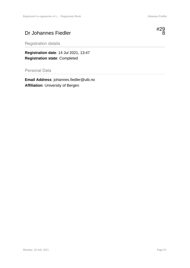# Dr Johannes Fiedler



Registration details

**Registration date**: 14 Jul 2021, 13:47 **Registration state**: Completed

Personal Data

**Email Address**: johannes.fiedler@uib.no **Affiliation**: University of Bergen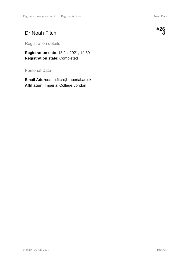# Dr Noah Fitch

Registration details

**Registration date**: 13 Jul 2021, 14:39 **Registration state**: Completed

Personal Data

**Email Address**: n.fitch@imperial.ac.uk **Affiliation**: Imperial College London

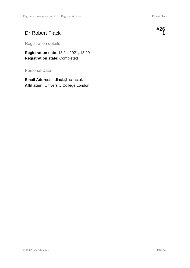# Dr Robert Flack



**Registration date**: 13 Jul 2021, 13:29 **Registration state**: Completed

#### Personal Data

**Email Address**: r.flack@ucl.ac.uk **Affiliation**: University College London

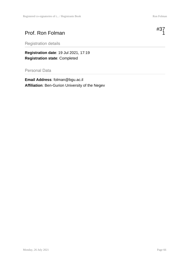#### Prof. Ron Folman

Registration details

**Registration date**: 19 Jul 2021, 17:19 **Registration state**: Completed

Personal Data

**Email Address**: folman@bgu.ac.il **Affiliation**: Ben-Gurion University of the Negev



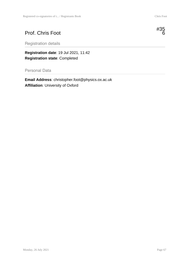## Prof. Chris Foot



Registration details

**Registration date**: 19 Jul 2021, 11:42 **Registration state**: Completed

Personal Data

**Email Address**: christopher.foot@physics.ox.ac.uk **Affiliation**: University of Oxford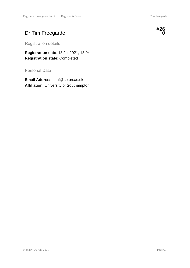# Dr Tim Freegarde

Registration details

**Registration date**: 13 Jul 2021, 13:04 **Registration state**: Completed

Personal Data

**Email Address**: timf@soton.ac.uk **Affiliation**: University of Southampton

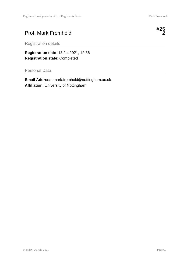#### Prof. Mark Fromhold



Registration details

**Registration date**: 13 Jul 2021, 12:36 **Registration state**: Completed

Personal Data

**Email Address**: mark.fromhold@nottingham.ac.uk **Affiliation**: University of Nottingham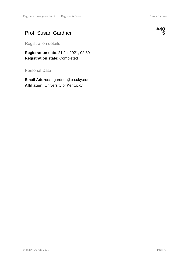#### Prof. Susan Gardner



Registration details

**Registration date**: 21 Jul 2021, 02:39 **Registration state**: Completed

Personal Data

**Email Address**: gardner@pa.uky.edu **Affiliation**: University of Kentucky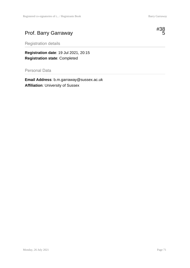# Prof. Barry Garraway



Registration details

**Registration date**: 19 Jul 2021, 20:15 **Registration state**: Completed

Personal Data

**Email Address**: b.m.garraway@sussex.ac.uk **Affiliation**: University of Sussex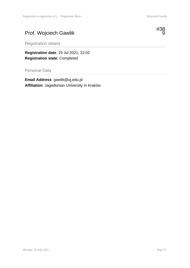# Prof. Wojciech Gawlik



Registration details

**Registration date**: 19 Jul 2021, 22:02 **Registration state**: Completed

Personal Data

**Email Address**: gawlik@uj.edu.pl **Affiliation**: Jagiellonian University in Kraków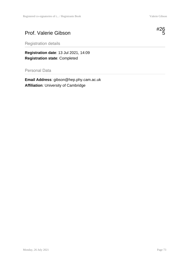#### Prof. Valerie Gibson



Registration details

**Registration date**: 13 Jul 2021, 14:09 **Registration state**: Completed

Personal Data

**Email Address**: gibson@hep.phy.cam.ac.uk **Affiliation**: University of Cambridge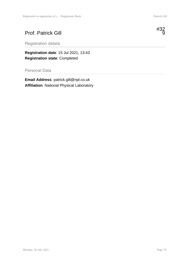#### Prof. Patrick Gill



**Registration date**: 15 Jul 2021, 13:43 **Registration state**: Completed

#### Personal Data

**Email Address**: patrick.gill@npl.co.uk **Affiliation**: National Physical Laboratory

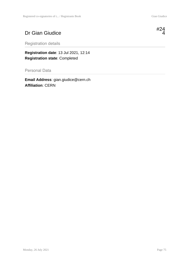# Dr Gian Giudice

Registration details

**Registration date**: 13 Jul 2021, 12:14 **Registration state**: Completed

Personal Data

**Email Address**: gian.giudice@cern.ch **Affiliation**: CERN



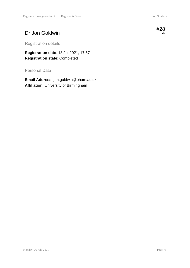# Dr Jon Goldwin



Registration details

**Registration date**: 13 Jul 2021, 17:57 **Registration state**: Completed

Personal Data

**Email Address**: j.m.goldwin@bham.ac.uk **Affiliation**: University of Birmingham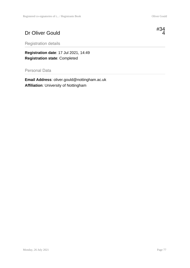# Dr Oliver Gould



Registration details

**Registration date**: 17 Jul 2021, 14:49 **Registration state**: Completed

Personal Data

**Email Address**: oliver.gould@nottingham.ac.uk **Affiliation**: University of Nottingham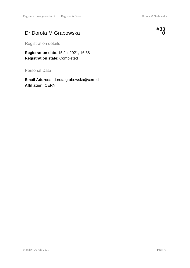#### Dr Dorota M Grabowska



Registration details

**Registration date**: 15 Jul 2021, 16:38 **Registration state**: Completed

Personal Data

**Email Address**: dorota.grabowska@cern.ch **Affiliation**: CERN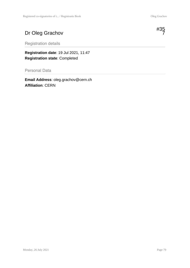# Dr Oleg Grachov



Registration details

**Registration date**: 19 Jul 2021, 11:47 **Registration state**: Completed

Personal Data

**Email Address**: oleg.grachov@cern.ch **Affiliation**: CERN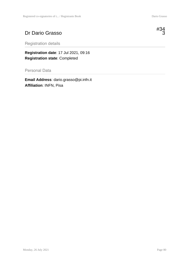#### Dr Dario Grasso

Registration details

**Registration date**: 17 Jul 2021, 09:16 **Registration state**: Completed

Personal Data

**Email Address**: dario.grasso@pi.infn.it **Affiliation**: INFN, Pisa

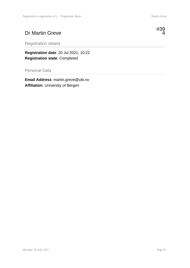#### Dr Martin Greve



Registration details

**Registration date**: 20 Jul 2021, 10:22 **Registration state**: Completed

Personal Data

**Email Address**: martin.greve@uib.no **Affiliation**: University of Bergen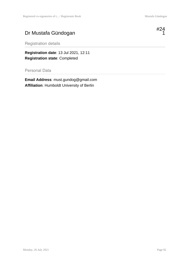### Dr Mustafa Gündogan



Registration details

**Registration date**: 13 Jul 2021, 12:11 **Registration state**: Completed

Personal Data

**Email Address**: must.gundog@gmail.com **Affiliation**: Humboldt University of Berlin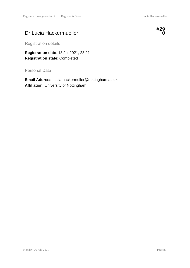#### Dr Lucia Hackermueller



Registration details

**Registration date**: 13 Jul 2021, 23:21 **Registration state**: Completed

Personal Data

**Email Address**: lucia.hackermuller@nottingham.ac.uk **Affiliation**: University of Nottingham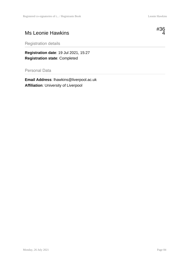#### Ms Leonie Hawkins



Registration details

**Registration date**: 19 Jul 2021, 15:27 **Registration state**: Completed

Personal Data

**Email Address**: lhawkins@liverpool.ac.uk **Affiliation**: University of Liverpool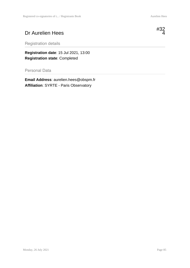# Dr Aurelien Hees

Registration details

**Registration date**: 15 Jul 2021, 13:00 **Registration state**: Completed

Personal Data

**Email Address**: aurelien.hees@obspm.fr **Affiliation**: SYRTE - Paris Observatory

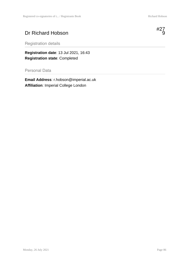# Dr Richard Hobson



Registration details

**Registration date**: 13 Jul 2021, 16:43 **Registration state**: Completed

Personal Data

**Email Address**: r.hobson@imperial.ac.uk **Affiliation**: Imperial College London

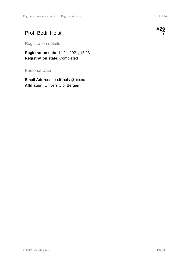# Prof. Bodil Holst

Registration details

**Registration date**: 14 Jul 2021, 13:23 **Registration state**: Completed

Personal Data

**Email Address**: bodil.holst@uib.no **Affiliation**: University of Bergen

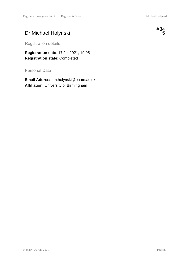# Dr Michael Holynski



Registration details

**Registration date**: 17 Jul 2021, 19:05 **Registration state**: Completed

Personal Data

**Email Address**: m.holynski@bham.ac.uk **Affiliation**: University of Birmingham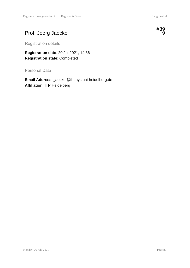# Prof. Joerg Jaeckel



Registration details

**Registration date**: 20 Jul 2021, 14:36 **Registration state**: Completed

Personal Data

**Email Address**: jjaeckel@thphys.uni-heidelberg.de **Affiliation**: ITP Heidelberg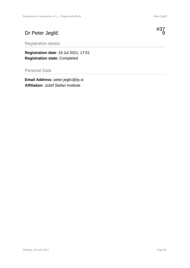# Dr Peter Jeglič



**Registration date**: 19 Jul 2021, 17:51 **Registration state**: Completed

Personal Data

**Email Address**: peter.jeglic@ijs.si **Affiliation**: Jožef Stefan Institute

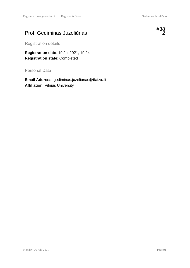#### Prof. Gediminas Juzeliūnas



Registration details

**Registration date**: 19 Jul 2021, 19:24 **Registration state**: Completed

Personal Data

**Email Address**: gediminas.juzeliunas@tfai.vu.lt **Affiliation**: Vilnius University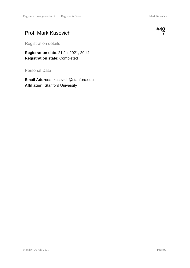#### Prof. Mark Kasevich

Registration details

**Registration date**: 21 Jul 2021, 20:41 **Registration state**: Completed

Personal Data

**Email Address**: kasevich@stanford.edu **Affiliation**: Stanford University

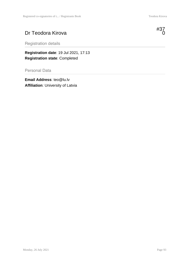# Dr Teodora Kirova

Registration details

**Registration date**: 19 Jul 2021, 17:13 **Registration state**: Completed

Personal Data

**Email Address**: teo@lu.lv **Affiliation**: University of Latvia

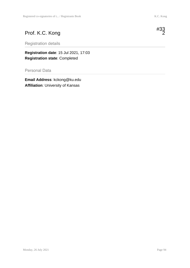### Prof. K.C. Kong

Registration details

**Registration date**: 15 Jul 2021, 17:03 **Registration state**: Completed

Personal Data

**Email Address**: kckong@ku.edu **Affiliation**: University of Kansas

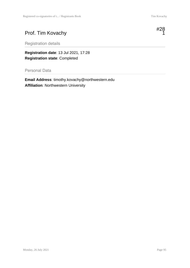# Prof. Tim Kovachy



Registration details

**Registration date**: 13 Jul 2021, 17:28 **Registration state**: Completed

Personal Data

**Email Address**: timothy.kovachy@northwestern.edu **Affiliation**: Northwestern University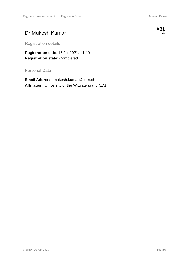4

#### Dr Mukesh Kumar



Registration details

**Registration date**: 15 Jul 2021, 11:40 **Registration state**: Completed

Personal Data

**Email Address**: mukesh.kumar@cern.ch **Affiliation**: University of the Witwatersrand (ZA)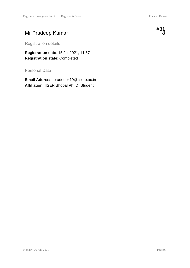# Mr Pradeep Kumar



Registration details

**Registration date**: 15 Jul 2021, 11:57 **Registration state**: Completed

Personal Data

**Email Address**: pradeepk19@iiserb.ac.in **Affiliation**: IISER Bhopal Ph. D. Student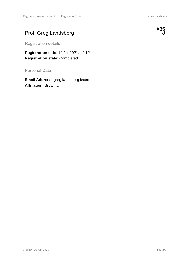# Prof. Greg Landsberg



Registration details

**Registration date**: 19 Jul 2021, 12:12 **Registration state**: Completed

Personal Data

**Email Address**: greg.landsberg@cern.ch **Affiliation**: Brown U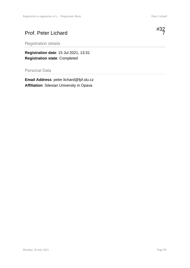#### Prof. Peter Lichard

Registration details

**Registration date**: 15 Jul 2021, 13:31 **Registration state**: Completed

Personal Data

**Email Address**: peter.lichard@fpf.slu.cz **Affiliation**: Silesian University in Opava

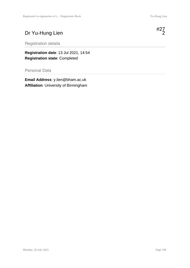# Dr Yu-Hung Lien

Registration details

**Registration date**: 13 Jul 2021, 14:54 **Registration state**: Completed

Personal Data

**Email Address**: y.lien@bham.ac.uk **Affiliation**: University of Birmingham

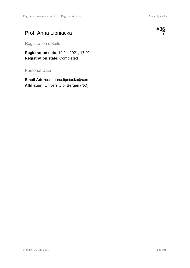# Prof. Anna Lipniacka



Registration details

**Registration date**: 19 Jul 2021, 17:02 **Registration state**: Completed

Personal Data

**Email Address**: anna.lipniacka@cern.ch **Affiliation**: University of Bergen (NO)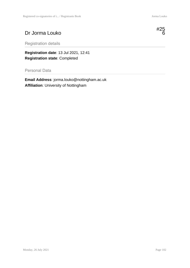#### Dr Jorma Louko



Registration details

**Registration date**: 13 Jul 2021, 12:41 **Registration state**: Completed

Personal Data

**Email Address**: jorma.louko@nottingham.ac.uk **Affiliation**: University of Nottingham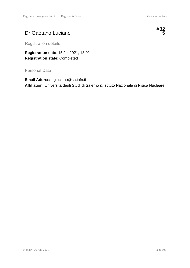#### Dr Gaetano Luciano



Registration details

**Registration date**: 15 Jul 2021, 13:01 **Registration state**: Completed

Personal Data

**Email Address**: gluciano@sa.infn.it **Affiliation**: Università degli Studi di Salerno & Istituto Nazionale di Fisica Nucleare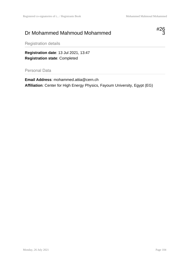#### Dr Mohammed Mahmoud Mohammed



Registration details

**Registration date**: 13 Jul 2021, 13:47 **Registration state**: Completed

Personal Data

**Email Address**: mohammed.attia@cern.ch **Affiliation**: Center for High Energy Physics, Fayoum University, Egypt (EG)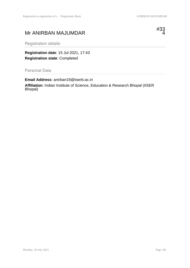#### Mr ANIRBAN MAJUMDAR



Registration details

**Registration date**: 15 Jul 2021, 17:43 **Registration state**: Completed

Personal Data

**Email Address**: anirban19@iiserb.ac.in **Affiliation**: Indian Institute of Science, Education & Research Bhopal (IISER Bhopal)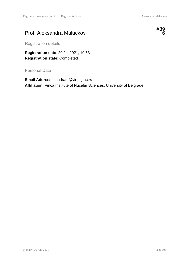#### Prof. Aleksandra Maluckov



Registration details

**Registration date**: 20 Jul 2021, 10:53 **Registration state**: Completed

Personal Data

**Email Address**: sandram@vin.bg.ac.rs **Affiliation**: Vinca Institute of Nucelar Sciences, University of Belgrade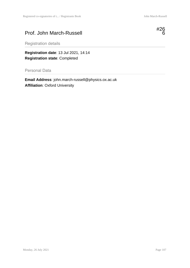# Prof. John March-Russell



Registration details

**Registration date**: 13 Jul 2021, 14:14 **Registration state**: Completed

Personal Data

**Email Address**: john.march-russell@physics.ox.ac.uk **Affiliation**: Oxford University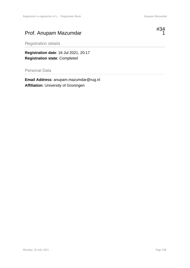#### Prof. Anupam Mazumdar



Registration details

**Registration date**: 16 Jul 2021, 20:17 **Registration state**: Completed

Personal Data

**Email Address**: anupam.mazumdar@rug.nl **Affiliation**: University of Groningen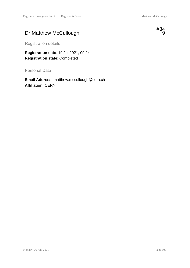# Dr Matthew McCullough



Registration details

**Registration date**: 19 Jul 2021, 09:24 **Registration state**: Completed

Personal Data

**Email Address**: matthew.mccullough@cern.ch **Affiliation**: CERN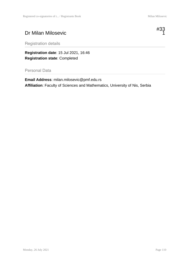# Dr Milan Milosevic



Registration details

**Registration date**: 15 Jul 2021, 16:46 **Registration state**: Completed

#### Personal Data

**Email Address**: milan.milosevic@pmf.edu.rs **Affiliation**: Faculty of Sciences and Mathematics, University of Nis, Serbia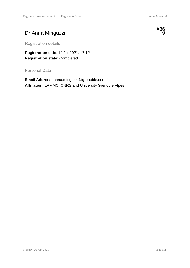# Dr Anna Minguzzi



Registration details

**Registration date**: 19 Jul 2021, 17:12 **Registration state**: Completed

Personal Data

**Email Address**: anna.minguzzi@grenoble.cnrs.fr **Affiliation**: LPMMC, CNRS and University Grenoble Alpes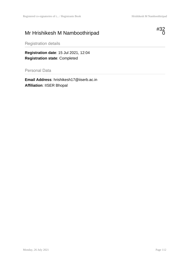# Mr Hrishikesh M Namboothiripad



Registration details

**Registration date**: 15 Jul 2021, 12:04 **Registration state**: Completed

Personal Data

**Email Address**: hrishikesh17@iiserb.ac.in **Affiliation**: IISER Bhopal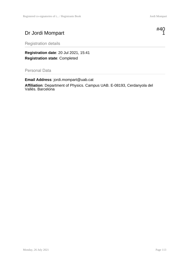# Dr Jordi Mompart



Registration details

**Registration date**: 20 Jul 2021, 15:41 **Registration state**: Completed

Personal Data

**Email Address**: jordi.mompart@uab.cat **Affiliation**: Department of Physics. Campus UAB. E-08193, Cerdanyola del Vallès. Barcelona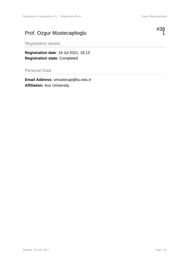# Prof. Ozgur Mustecaplioglu



Registration details

**Registration date**: 19 Jul 2021, 18:13 **Registration state**: Completed

Personal Data

**Email Address**: omustecap@ku.edu.tr **Affiliation**: Koc University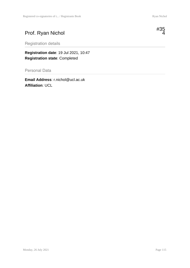#### Prof. Ryan Nichol

Registration details

**Registration date**: 19 Jul 2021, 10:47 **Registration state**: Completed

Personal Data

**Email Address**: r.nichol@ucl.ac.uk **Affiliation**: UCL

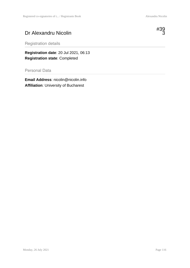# Dr Alexandru Nicolin



Registration details

**Registration date**: 20 Jul 2021, 06:13 **Registration state**: Completed

Personal Data

**Email Address**: nicolin@nicolin.info **Affiliation**: University of Bucharest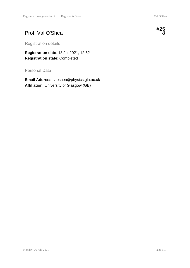#### Prof. Val O'Shea

Registration details

**Registration date**: 13 Jul 2021, 12:52 **Registration state**: Completed

Personal Data

**Email Address**: v.oshea@physics.gla.ac.uk **Affiliation**: University of Glasgow (GB)

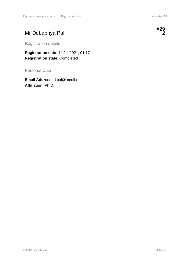#### Mr Debapriya Pal

Registration details

**Registration date**: 14 Jul 2021, 01:17 **Registration state**: Completed

Personal Data

**Email Address**: d.pal@amolf.nl **Affiliation**: Ph.D.

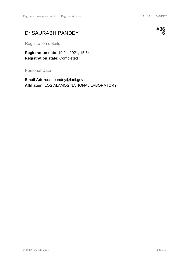# Dr SAURABH PANDEY



Registration details

**Registration date**: 19 Jul 2021, 15:54 **Registration state**: Completed

Personal Data

**Email Address**: pandey@lanl.gov **Affiliation**: LOS ALAMOS NATIONAL LABORATORY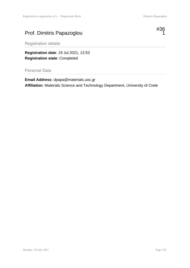# Prof. Dimitris Papazoglou



Registration details

**Registration date**: 19 Jul 2021, 12:53 **Registration state**: Completed

Personal Data

**Email Address**: dpapa@materials.uoc.gr **Affiliation**: Materials Science and Technology Department, University of Crete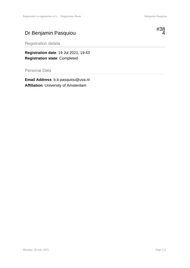#### Dr Benjamin Pasquiou



Registration details

**Registration date**: 19 Jul 2021, 19:43 **Registration state**: Completed

Personal Data

**Email Address**: b.b.pasquiou@uva.nl **Affiliation**: University of Amsterdam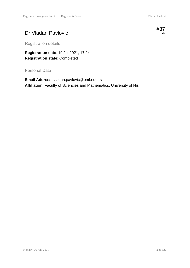#### Dr Vladan Pavlovic

#37 4

Registration details

**Registration date**: 19 Jul 2021, 17:24 **Registration state**: Completed

Personal Data

**Email Address**: vladan.pavlovic@pmf.edu.rs **Affiliation**: Faculty of Sciencies and Mathematics, University of Nis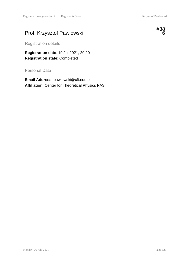# Prof. Krzysztof Pawlowski



Registration details

**Registration date**: 19 Jul 2021, 20:20 **Registration state**: Completed

Personal Data

**Email Address**: pawlowski@cft.edu.pl **Affiliation**: Center for Theoretical Physics PAS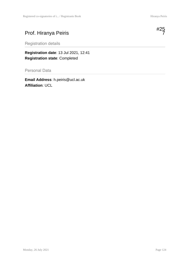#### Prof. Hiranya Peiris

Registration details

**Registration date**: 13 Jul 2021, 12:41 **Registration state**: Completed

Personal Data

**Email Address**: h.peiris@ucl.ac.uk **Affiliation**: UCL

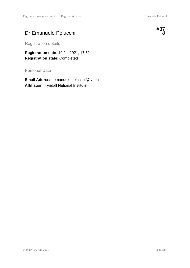#### Dr Emanuele Pelucchi



Registration details

**Registration date**: 19 Jul 2021, 17:51 **Registration state**: Completed

Personal Data

**Email Address**: emanuele.pelucchi@tyndall.ie **Affiliation**: Tyndall National Institute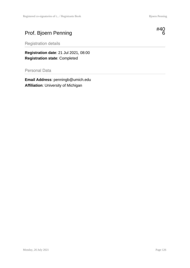#### Prof. Bjoern Penning



Registration details

**Registration date**: 21 Jul 2021, 08:00 **Registration state**: Completed

Personal Data

**Email Address**: penningb@umich.edu **Affiliation**: University of Michigan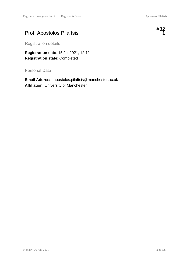# Prof. Apostolos Pilaftsis



Registration details

**Registration date**: 15 Jul 2021, 12:11 **Registration state**: Completed

Personal Data

**Email Address**: apostolos.pilaftsis@manchester.ac.uk **Affiliation**: University of Manchester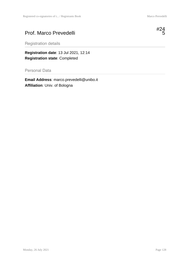#### Prof. Marco Prevedelli



Registration details

**Registration date**: 13 Jul 2021, 12:14 **Registration state**: Completed

Personal Data

**Email Address**: marco.prevedelli@unibo.it **Affiliation**: Univ. of Bologna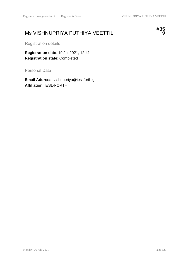#### Ms VISHNUPRIYA PUTHIYA VEETTIL



Registration details

**Registration date**: 19 Jul 2021, 12:41 **Registration state**: Completed

Personal Data

**Email Address**: vishnupriya@iesl.forth.gr **Affiliation**: IESL-FORTH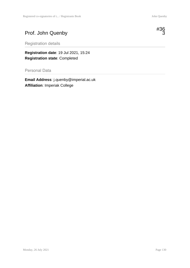# Prof. John Quenby



Registration details

**Registration date**: 19 Jul 2021, 15:24 **Registration state**: Completed

Personal Data

**Email Address**: j.quenby@imperial.ac.uk **Affiliation**: Imperiak College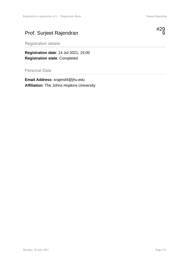# Prof. Surjeet Rajendran



Registration details

**Registration date**: 14 Jul 2021, 15:00 **Registration state**: Completed

Personal Data

**Email Address**: srajend4@jhu.edu **Affiliation**: The Johns Hopkins University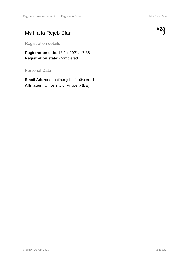# Ms Haifa Rejeb Sfar



Registration details

**Registration date**: 13 Jul 2021, 17:36 **Registration state**: Completed

Personal Data

**Email Address**: haifa.rejeb.sfar@cern.ch **Affiliation**: University of Antwerp (BE)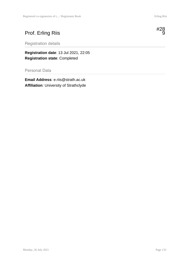# Prof. Erling Riis

Registration details

**Registration date**: 13 Jul 2021, 22:05 **Registration state**: Completed

Personal Data

**Email Address**: e.riis@strath.ac.uk **Affiliation**: University of Strathclyde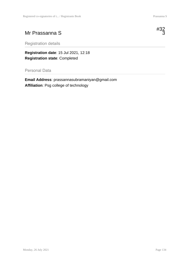#### Mr Prassanna S



Registration details

**Registration date**: 15 Jul 2021, 12:18 **Registration state**: Completed

Personal Data

**Email Address**: prassannasubramaniyan@gmail.com **Affiliation**: Psg college of technology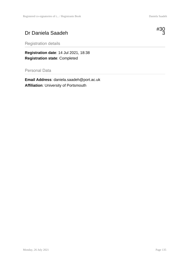#### Dr Daniela Saadeh



Registration details

**Registration date**: 14 Jul 2021, 18:38 **Registration state**: Completed

Personal Data

**Email Address**: daniela.saadeh@port.ac.uk **Affiliation**: University of Portsmouth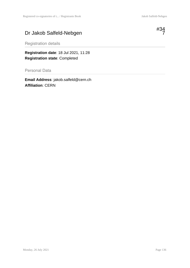#### Dr Jakob Salfeld-Nebgen



Registration details

**Registration date**: 18 Jul 2021, 11:28 **Registration state**: Completed

Personal Data

**Email Address**: jakob.salfeld@cern.ch **Affiliation**: CERN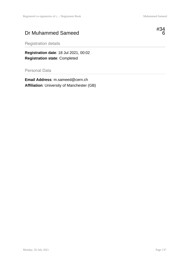#### Dr Muhammed Sameed



Registration details

**Registration date**: 18 Jul 2021, 00:02 **Registration state**: Completed

Personal Data

**Email Address**: m.sameed@cern.ch **Affiliation**: University of Manchester (GB)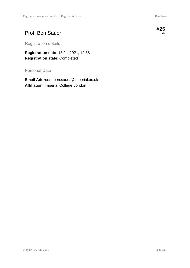#### Prof. Ben Sauer



**Registration date**: 13 Jul 2021, 12:38 **Registration state**: Completed

Personal Data

**Email Address**: ben.sauer@imperial.ac.uk **Affiliation**: Imperial College London

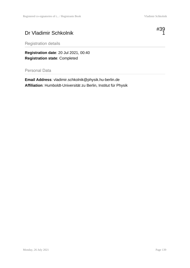# Dr Vladimir Schkolnik



Registration details

**Registration date**: 20 Jul 2021, 00:40 **Registration state**: Completed

Personal Data

**Email Address**: vladimir.schkolnik@physik.hu-berlin.de **Affiliation**: Humboldt-Universität zu Berlin, Institut für Physik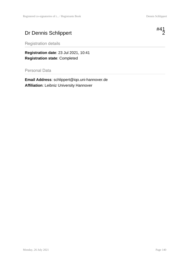# Dr Dennis Schlippert

Registration details

**Registration date**: 23 Jul 2021, 10:41 **Registration state**: Completed

Personal Data

**Email Address**: schlippert@iqo.uni-hannover.de **Affiliation**: Leibniz University Hannover

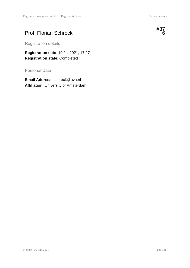# Prof. Florian Schreck



Registration details

**Registration date**: 19 Jul 2021, 17:27 **Registration state**: Completed

Personal Data

**Email Address**: schreck@uva.nl **Affiliation**: University of Amsterdam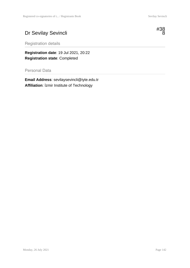# Dr Sevilay Sevincli



Registration details

**Registration date**: 19 Jul 2021, 20:22 **Registration state**: Completed

Personal Data

**Email Address**: sevilaysevincli@iyte.edu.tr **Affiliation**: İzmir Institute of Technology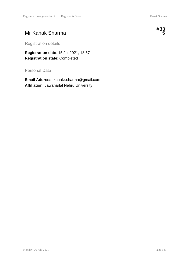## Mr Kanak Sharma



Registration details

**Registration date**: 15 Jul 2021, 18:57 **Registration state**: Completed

Personal Data

**Email Address**: kanakr.sharma@gmail.com **Affiliation**: Jawaharlal Nehru University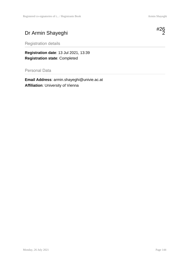# Dr Armin Shayeghi



Registration details

**Registration date**: 13 Jul 2021, 13:39 **Registration state**: Completed

Personal Data

**Email Address**: armin.shayeghi@univie.ac.at **Affiliation**: University of Vienna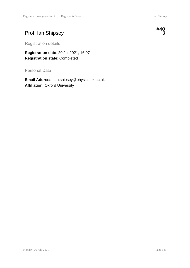# Prof. Ian Shipsey



Registration details

**Registration date**: 20 Jul 2021, 16:07 **Registration state**: Completed

Personal Data

**Email Address**: ian.shipsey@physics.ox.ac.uk **Affiliation**: Oxford University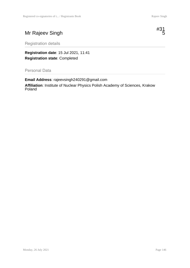# Mr Rajeev Singh



Registration details

**Registration date**: 15 Jul 2021, 11:41 **Registration state**: Completed

Personal Data

**Email Address**: rajeevsingh240291@gmail.com **Affiliation**: Institute of Nuclear Physics Polish Academy of Sciences, Krakow Poland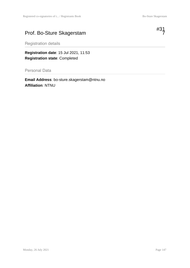# Prof. Bo-Sture Skagerstam



Registration details

**Registration date**: 15 Jul 2021, 11:53 **Registration state**: Completed

Personal Data

**Email Address**: bo-sture.skagerstam@ntnu.no **Affiliation**: NTNU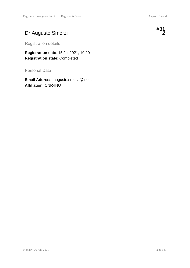# Dr Augusto Smerzi

Registration details

**Registration date**: 15 Jul 2021, 10:20 **Registration state**: Completed

Personal Data

**Email Address**: augusto.smerzi@ino.it **Affiliation**: CNR-INO

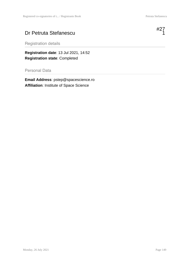#### Dr Petruta Stefanescu



**Registration date**: 13 Jul 2021, 14:52 **Registration state**: Completed

Personal Data

**Email Address**: pstep@spacescience.ro **Affiliation**: Institute of Space Science

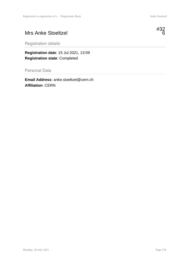## Mrs Anke Stoeltzel

Registration details

**Registration date**: 15 Jul 2021, 13:09 **Registration state**: Completed

Personal Data

**Email Address**: anke.stoeltzel@cern.ch **Affiliation**: CERN

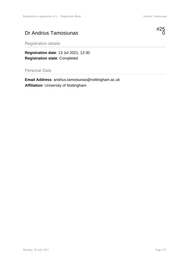### Dr Andrius Tamosiunas



Registration details

**Registration date**: 13 Jul 2021, 12:30 **Registration state**: Completed

Personal Data

**Email Address**: andrius.tamosiunas@nottingham.ac.uk **Affiliation**: University of Nottingham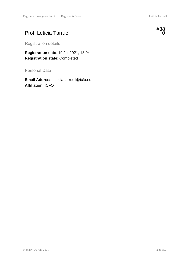## Prof. Leticia Tarruell

Registration details

**Registration date**: 19 Jul 2021, 18:04 **Registration state**: Completed

Personal Data

**Email Address**: leticia.tarruell@icfo.eu **Affiliation**: ICFO



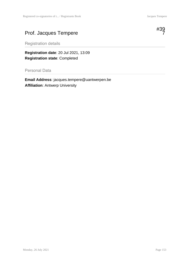# Prof. Jacques Tempere



Registration details

**Registration date**: 20 Jul 2021, 13:09 **Registration state**: Completed

Personal Data

**Email Address**: jacques.tempere@uantwerpen.be **Affiliation**: Antwerp University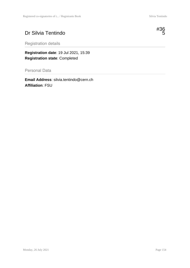# Dr Silvia Tentindo



**Registration date**: 19 Jul 2021, 15:39 **Registration state**: Completed

Personal Data

**Email Address**: silvia.tentindo@cern.ch **Affiliation**: FSU

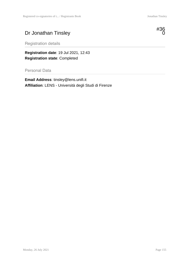# Dr Jonathan Tinsley



Registration details

**Registration date**: 19 Jul 2021, 12:43 **Registration state**: Completed

Personal Data

**Email Address**: tinsley@lens.unifi.it **Affiliation**: LENS - Università degli Studi di Firenze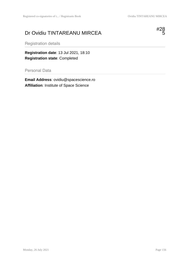# Dr Ovidiu TINTAREANU MIRCEA



Registration details

**Registration date**: 13 Jul 2021, 18:10 **Registration state**: Completed

Personal Data

**Email Address**: ovidiu@spacescience.ro **Affiliation**: Institute of Space Science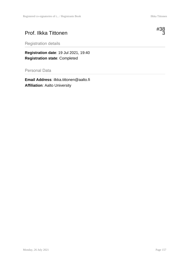#### Prof. Ilkka Tittonen



**Registration date**: 19 Jul 2021, 19:40 **Registration state**: Completed

Personal Data

**Email Address**: ilkka.tittonen@aalto.fi **Affiliation**: Aalto University

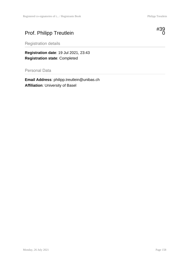# Prof. Philipp Treutlein



Registration details

**Registration date**: 19 Jul 2021, 23:43 **Registration state**: Completed

Personal Data

**Email Address**: philipp.treutlein@unibas.ch **Affiliation**: University of Basel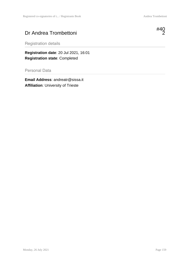## Dr Andrea Trombettoni



Registration details

**Registration date**: 20 Jul 2021, 16:01 **Registration state**: Completed

Personal Data

**Email Address**: andreatr@sissa.it **Affiliation**: University of Trieste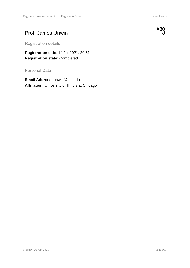#### Prof. James Unwin



Registration details

**Registration date**: 14 Jul 2021, 20:51 **Registration state**: Completed

Personal Data

**Email Address**: unwin@uic.edu **Affiliation**: University of Illinois at Chicago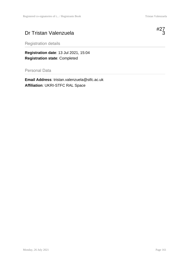## Dr Tristan Valenzuela

Registration details

**Registration date**: 13 Jul 2021, 15:04 **Registration state**: Completed

Personal Data

**Email Address**: tristan.valenzuela@stfc.ac.uk **Affiliation**: UKRI-STFC RAL Space

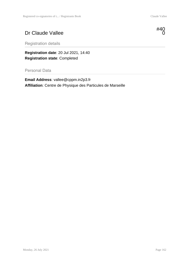# Dr Claude Vallee



Registration details

**Registration date**: 20 Jul 2021, 14:40 **Registration state**: Completed

Personal Data

**Email Address**: vallee@cppm.in2p3.fr **Affiliation**: Centre de Physique des Particules de Marseille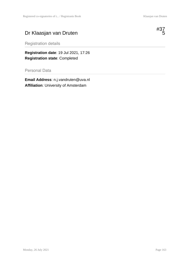# Dr Klaasjan van Druten



Registration details

**Registration date**: 19 Jul 2021, 17:26 **Registration state**: Completed

Personal Data

**Email Address**: n.j.vandruten@uva.nl **Affiliation**: University of Amsterdam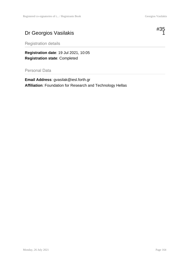# Dr Georgios Vasilakis



Registration details

**Registration date**: 19 Jul 2021, 10:05 **Registration state**: Completed

Personal Data

**Email Address**: gvasilak@iesl.forth.gr **Affiliation**: Foundation for Research and Technology Hellas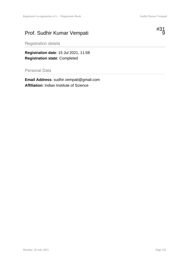# Prof. Sudhir Kumar Vempati



Registration details

**Registration date**: 15 Jul 2021, 11:58 **Registration state**: Completed

Personal Data

**Email Address**: sudhir.vempati@gmail.com **Affiliation**: Indian Institute of Science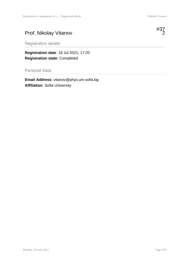## Prof. Nikolay Vitanov

Registration details

**Registration date**: 19 Jul 2021, 17:20 **Registration state**: Completed

Personal Data

**Email Address**: vitanov@phys.uni-sofia.bg **Affiliation**: Sofia University

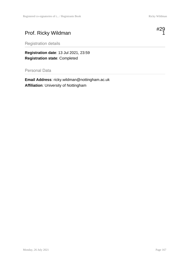# Prof. Ricky Wildman



Registration details

**Registration date**: 13 Jul 2021, 23:59 **Registration state**: Completed

Personal Data

**Email Address**: ricky.wildman@nottingham.ac.uk **Affiliation**: University of Nottingham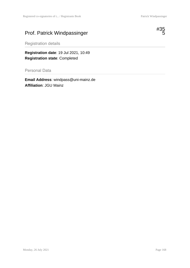# Prof. Patrick Windpassinger



Registration details

**Registration date**: 19 Jul 2021, 10:49 **Registration state**: Completed

Personal Data

**Email Address**: windpass@uni-mainz.de **Affiliation**: JGU Mainz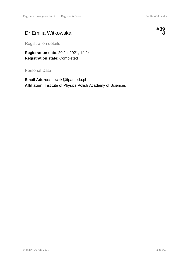# Dr Emilia Witkowska



Registration details

**Registration date**: 20 Jul 2021, 14:24 **Registration state**: Completed

Personal Data

**Email Address**: ewitk@ifpan.edu.pl **Affiliation**: Institute of Physics Polish Academy of Sciences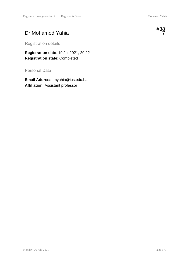# Dr Mohamed Yahia



Registration details

**Registration date**: 19 Jul 2021, 20:22 **Registration state**: Completed

Personal Data

**Email Address**: myahia@ius.edu.ba **Affiliation**: Assistant professor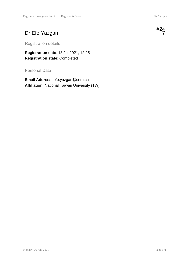## Dr Efe Yazgan

Registration details

**Registration date**: 13 Jul 2021, 12:25 **Registration state**: Completed

Personal Data

**Email Address**: efe.yazgan@cern.ch **Affiliation**: National Taiwan University (TW)

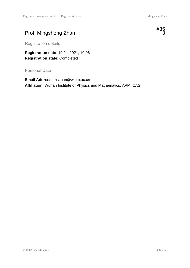# Prof. Mingsheng Zhan



Registration details

**Registration date**: 19 Jul 2021, 10:06 **Registration state**: Completed

Personal Data

**Email Address**: mszhan@wipm.ac.cn **Affiliation**: Wuhan Institute of Physics and Mathematics, APM, CAS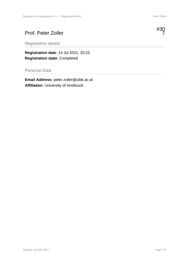# Prof. Peter Zoller



**Registration date**: 14 Jul 2021, 20:22 **Registration state**: Completed

Personal Data

**Email Address**: peter.zoller@uibk.ac.at **Affiliation**: University of Innsbruck